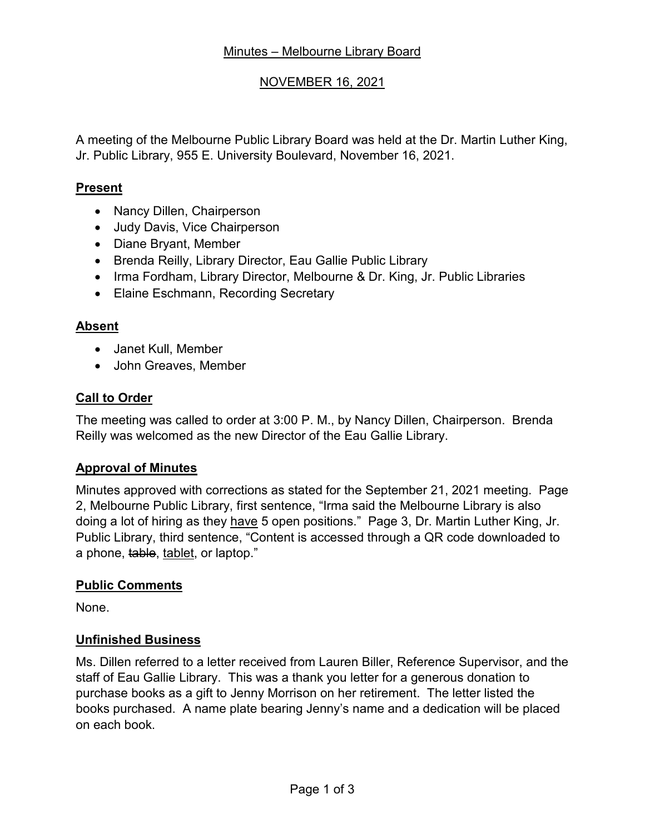# NOVEMBER 16, 2021

A meeting of the Melbourne Public Library Board was held at the Dr. Martin Luther King, Jr. Public Library, 955 E. University Boulevard, November 16, 2021.

#### **Present**

- Nancy Dillen, Chairperson
- Judy Davis, Vice Chairperson
- Diane Bryant, Member
- Brenda Reilly, Library Director, Eau Gallie Public Library
- Irma Fordham, Library Director, Melbourne & Dr. King, Jr. Public Libraries
- Elaine Eschmann, Recording Secretary

## **Absent**

- Janet Kull, Member
- John Greaves, Member

## **Call to Order**

The meeting was called to order at 3:00 P. M., by Nancy Dillen, Chairperson. Brenda Reilly was welcomed as the new Director of the Eau Gallie Library.

# **Approval of Minutes**

Minutes approved with corrections as stated for the September 21, 2021 meeting. Page 2, Melbourne Public Library, first sentence, "Irma said the Melbourne Library is also doing a lot of hiring as they have 5 open positions." Page 3, Dr. Martin Luther King, Jr. Public Library, third sentence, "Content is accessed through a QR code downloaded to a phone, table, tablet, or laptop."

#### **Public Comments**

None.

#### **Unfinished Business**

Ms. Dillen referred to a letter received from Lauren Biller, Reference Supervisor, and the staff of Eau Gallie Library. This was a thank you letter for a generous donation to purchase books as a gift to Jenny Morrison on her retirement. The letter listed the books purchased. A name plate bearing Jenny's name and a dedication will be placed on each book.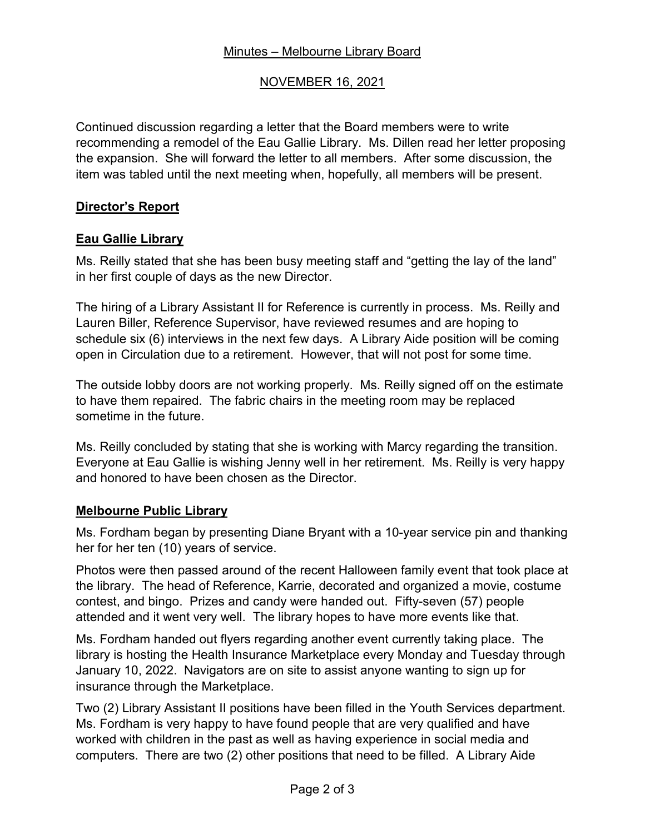# Minutes – Melbourne Library Board

# NOVEMBER 16, 2021

Continued discussion regarding a letter that the Board members were to write recommending a remodel of the Eau Gallie Library. Ms. Dillen read her letter proposing the expansion. She will forward the letter to all members. After some discussion, the item was tabled until the next meeting when, hopefully, all members will be present.

#### **Director's Report**

## **Eau Gallie Library**

Ms. Reilly stated that she has been busy meeting staff and "getting the lay of the land" in her first couple of days as the new Director.

The hiring of a Library Assistant II for Reference is currently in process. Ms. Reilly and Lauren Biller, Reference Supervisor, have reviewed resumes and are hoping to schedule six (6) interviews in the next few days. A Library Aide position will be coming open in Circulation due to a retirement. However, that will not post for some time.

The outside lobby doors are not working properly. Ms. Reilly signed off on the estimate to have them repaired. The fabric chairs in the meeting room may be replaced sometime in the future.

Ms. Reilly concluded by stating that she is working with Marcy regarding the transition. Everyone at Eau Gallie is wishing Jenny well in her retirement. Ms. Reilly is very happy and honored to have been chosen as the Director.

#### **Melbourne Public Library**

Ms. Fordham began by presenting Diane Bryant with a 10-year service pin and thanking her for her ten (10) years of service.

Photos were then passed around of the recent Halloween family event that took place at the library. The head of Reference, Karrie, decorated and organized a movie, costume contest, and bingo. Prizes and candy were handed out. Fifty-seven (57) people attended and it went very well. The library hopes to have more events like that.

Ms. Fordham handed out flyers regarding another event currently taking place. The library is hosting the Health Insurance Marketplace every Monday and Tuesday through January 10, 2022. Navigators are on site to assist anyone wanting to sign up for insurance through the Marketplace.

Two (2) Library Assistant II positions have been filled in the Youth Services department. Ms. Fordham is very happy to have found people that are very qualified and have worked with children in the past as well as having experience in social media and computers. There are two (2) other positions that need to be filled. A Library Aide